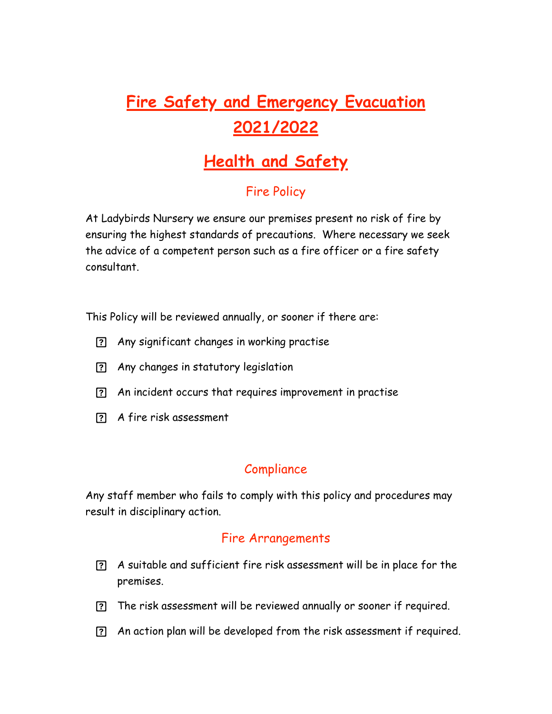# **Fire Safety and Emergency Evacuation 2021/2022**

## **Health and Safety**

## Fire Policy

At Ladybirds Nursery we ensure our premises present no risk of fire by ensuring the highest standards of precautions. Where necessary we seek the advice of a competent person such as a fire officer or a fire safety consultant.

This Policy will be reviewed annually, or sooner if there are:

- Any significant changes in working practise
- Any changes in statutory legislation
- An incident occurs that requires improvement in practise
- A fire risk assessment

### Compliance

Any staff member who fails to comply with this policy and procedures may result in disciplinary action.

#### Fire Arrangements

- A suitable and sufficient fire risk assessment will be in place for the premises.
- The risk assessment will be reviewed annually or sooner if required.
- An action plan will be developed from the risk assessment if required.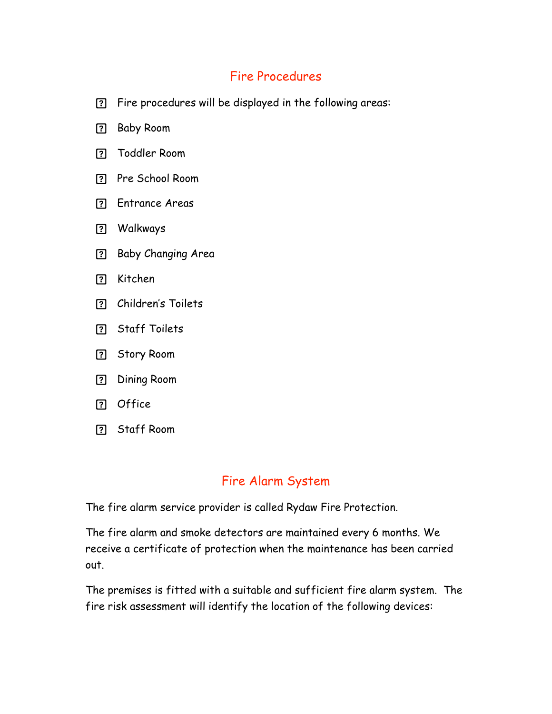### Fire Procedures

- Fire procedures will be displayed in the following areas:
- Baby Room
- Toddler Room
- Pre School Room
- Entrance Areas
- Walkways
- Baby Changing Area
- Kitchen
- Children's Toilets
- Staff Toilets
- Story Room
- Dining Room
- Office
- Staff Room

#### Fire Alarm System

The fire alarm service provider is called Rydaw Fire Protection.

The fire alarm and smoke detectors are maintained every 6 months. We receive a certificate of protection when the maintenance has been carried out.

The premises is fitted with a suitable and sufficient fire alarm system. The fire risk assessment will identify the location of the following devices: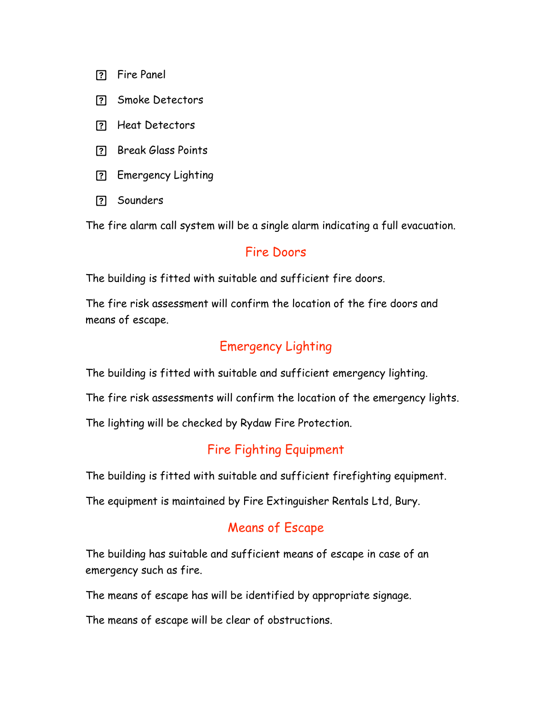- Fire Panel
- Smoke Detectors
- Heat Detectors
- P. Break Glass Points
- Emergency Lighting
- Sounders

The fire alarm call system will be a single alarm indicating a full evacuation.

#### Fire Doors

The building is fitted with suitable and sufficient fire doors.

The fire risk assessment will confirm the location of the fire doors and means of escape.

#### Emergency Lighting

The building is fitted with suitable and sufficient emergency lighting.

The fire risk assessments will confirm the location of the emergency lights.

The lighting will be checked by Rydaw Fire Protection.

#### Fire Fighting Equipment

The building is fitted with suitable and sufficient firefighting equipment.

The equipment is maintained by Fire Extinguisher Rentals Ltd, Bury.

#### Means of Escape

The building has suitable and sufficient means of escape in case of an emergency such as fire.

The means of escape has will be identified by appropriate signage.

The means of escape will be clear of obstructions.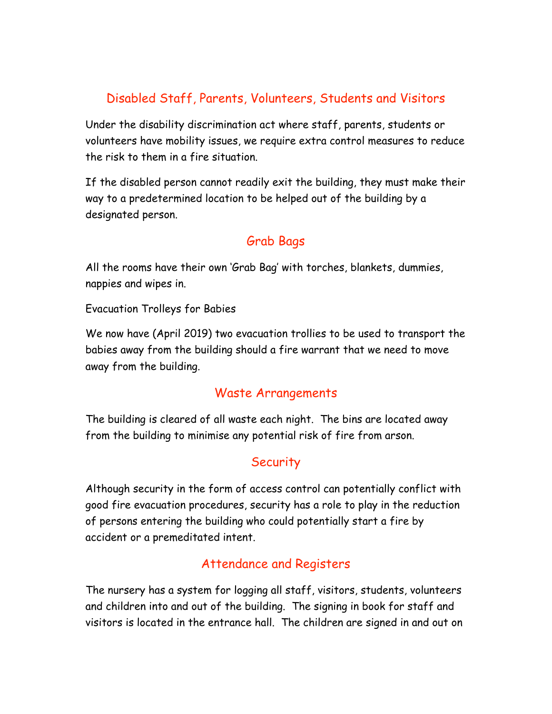## Disabled Staff, Parents, Volunteers, Students and Visitors

Under the disability discrimination act where staff, parents, students or volunteers have mobility issues, we require extra control measures to reduce the risk to them in a fire situation.

If the disabled person cannot readily exit the building, they must make their way to a predetermined location to be helped out of the building by a designated person.

## Grab Bags

All the rooms have their own 'Grab Bag' with torches, blankets, dummies, nappies and wipes in.

Evacuation Trolleys for Babies

We now have (April 2019) two evacuation trollies to be used to transport the babies away from the building should a fire warrant that we need to move away from the building.

#### Waste Arrangements

The building is cleared of all waste each night. The bins are located away from the building to minimise any potential risk of fire from arson.

### **Security**

Although security in the form of access control can potentially conflict with good fire evacuation procedures, security has a role to play in the reduction of persons entering the building who could potentially start a fire by accident or a premeditated intent.

### Attendance and Registers

The nursery has a system for logging all staff, visitors, students, volunteers and children into and out of the building. The signing in book for staff and visitors is located in the entrance hall. The children are signed in and out on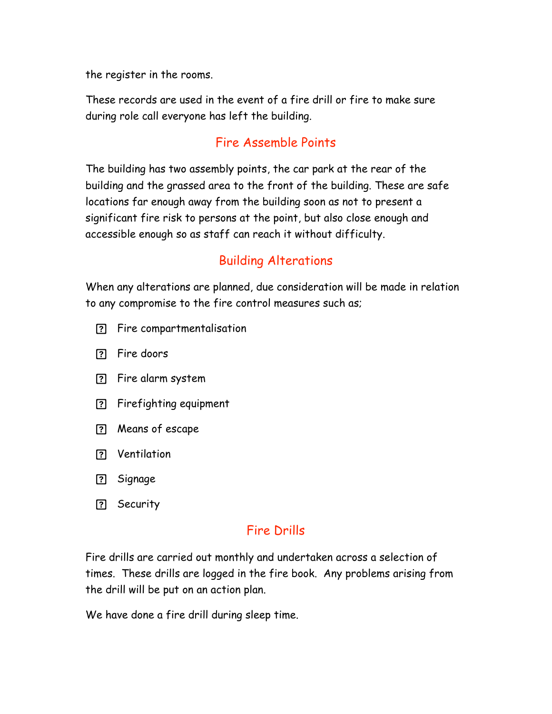the register in the rooms.

These records are used in the event of a fire drill or fire to make sure during role call everyone has left the building.

#### Fire Assemble Points

The building has two assembly points, the car park at the rear of the building and the grassed area to the front of the building. These are safe locations far enough away from the building soon as not to present a significant fire risk to persons at the point, but also close enough and accessible enough so as staff can reach it without difficulty.

## Building Alterations

When any alterations are planned, due consideration will be made in relation to any compromise to the fire control measures such as;

- Fire compartmentalisation
- Fire doors
- Fire alarm system
- Firefighting equipment
- Means of escape
- Ventilation
- Signage
- ? Security

#### Fire Drills

Fire drills are carried out monthly and undertaken across a selection of times. These drills are logged in the fire book. Any problems arising from the drill will be put on an action plan.

We have done a fire drill during sleep time.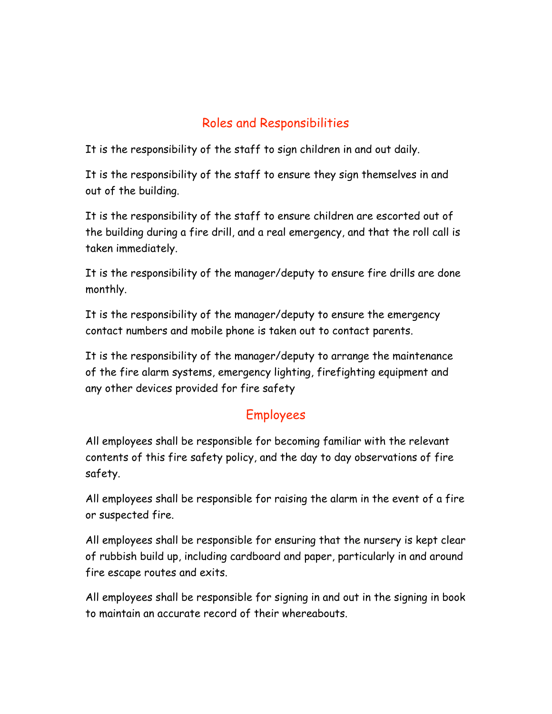## Roles and Responsibilities

It is the responsibility of the staff to sign children in and out daily.

It is the responsibility of the staff to ensure they sign themselves in and out of the building.

It is the responsibility of the staff to ensure children are escorted out of the building during a fire drill, and a real emergency, and that the roll call is taken immediately.

It is the responsibility of the manager/deputy to ensure fire drills are done monthly.

It is the responsibility of the manager/deputy to ensure the emergency contact numbers and mobile phone is taken out to contact parents.

It is the responsibility of the manager/deputy to arrange the maintenance of the fire alarm systems, emergency lighting, firefighting equipment and any other devices provided for fire safety

## Employees

All employees shall be responsible for becoming familiar with the relevant contents of this fire safety policy, and the day to day observations of fire safety.

All employees shall be responsible for raising the alarm in the event of a fire or suspected fire.

All employees shall be responsible for ensuring that the nursery is kept clear of rubbish build up, including cardboard and paper, particularly in and around fire escape routes and exits.

All employees shall be responsible for signing in and out in the signing in book to maintain an accurate record of their whereabouts.